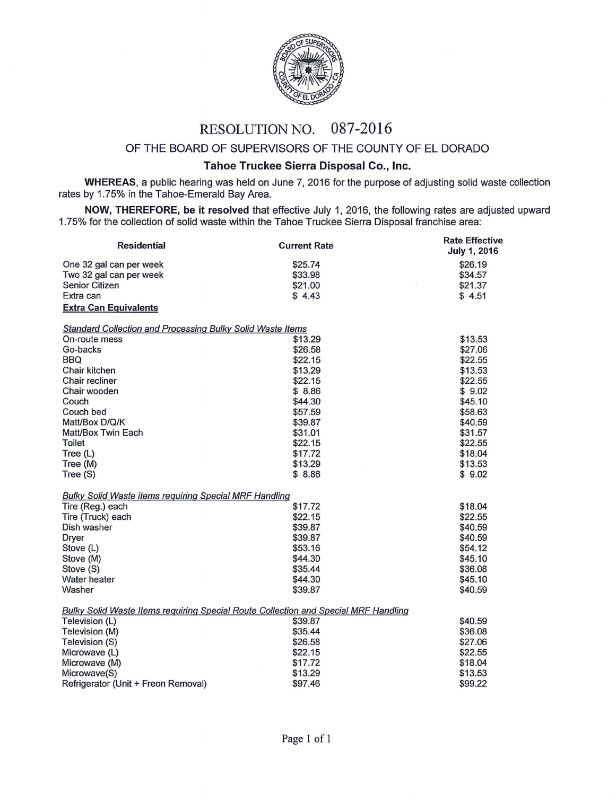

## RESOLUTION NO. 087-2016

## OF THE BOARD OF SUPERVISORS OF THE COUNTY OF EL DORADO

## Tahoe Truckee Sierra Disposal Co., Inc.

WHEREAS, a public hearing was held on June 7, 2016 for the purpose of adjusting solid waste collection rates by 1.75% in the Tahoe-Emerald Bay Area.

NOW, THEREFORE, be it resolved that effective July 1, 2016, the following rates are adjusted upward 1. 75% for the collection of solid waste within the Tahoe Truckee Sierra Disposal franchise area:

| <b>Residential</b>                                                                  | <b>Current Rate</b> | <b>Rate Effective</b><br>July 1, 2016 |
|-------------------------------------------------------------------------------------|---------------------|---------------------------------------|
| One 32 gal can per week                                                             | \$25.74             | \$26.19                               |
| Two 32 gal can per week                                                             | \$33.98             | \$34.57                               |
| Senior Citizen                                                                      | \$21.00             | \$21.37                               |
| Extra can                                                                           | \$4.43              | \$4.51                                |
| <b>Extra Can Equivalents</b>                                                        |                     |                                       |
| <b>Standard Collection and Processing Bulky Solid Waste Items</b>                   |                     |                                       |
| On-route mess                                                                       | \$13.29             | \$13.53                               |
| Go-backs                                                                            | \$26.58             | \$27.06                               |
| <b>BBQ</b>                                                                          | \$22.15             | \$22.55                               |
| Chair kitchen                                                                       | \$13.29             | \$13.53                               |
| Chair recliner                                                                      | \$22.15             | \$22.55                               |
| Chair wooden                                                                        | \$8.86              | \$9.02                                |
| Couch                                                                               | \$44.30             | \$45.10                               |
| Couch bed                                                                           | \$57.59             | \$58.63                               |
| Matt/Box D/Q/K                                                                      | \$39.87             | \$40.59                               |
| Matt/Box Twin Each                                                                  | \$31.01             | \$31.57                               |
| <b>Toilet</b>                                                                       | \$22.15             | \$22.55                               |
| Tree (L)                                                                            | \$17.72             | \$18.04                               |
| Tree (M)                                                                            | \$13.29             | \$13.53                               |
| Tree (S)                                                                            | \$8.86              | \$9.02                                |
| <b>Bulky Solid Waste items requiring Special MRF Handling</b>                       |                     |                                       |
| Tire (Reg.) each                                                                    | \$17.72             | \$18.04                               |
| Tire (Truck) each                                                                   | \$22.15             | \$22.55                               |
| Dish washer                                                                         | \$39.87             | \$40.59                               |
| <b>Dryer</b>                                                                        | \$39.87             | \$40.59                               |
| Stove (L)                                                                           | \$53.16             | \$54.12                               |
| Stove (M)                                                                           | \$44.30             | \$45.10                               |
| Stove (S)                                                                           | \$35.44             | \$36.08                               |
| Water heater                                                                        | \$44.30             | \$45.10                               |
| Washer                                                                              | \$39.87             | \$40.59                               |
| Bulky Solid Waste Items requiring Special Route Collection and Special MRF Handling |                     |                                       |
| Television (L)                                                                      | \$39.87             | \$40.59                               |
| Television (M)                                                                      | \$35.44             | \$36.08                               |
| Television (S)                                                                      | \$26.58             | \$27.06                               |
| Microwave (L)                                                                       | \$22.15             | \$22.55                               |
| Microwave (M)                                                                       | \$17.72             | \$18.04                               |
| Microwave(S)                                                                        | \$13.29             | \$13.53                               |
| Refrigerator (Unit + Freon Removal)                                                 | \$97.46             | \$99.22                               |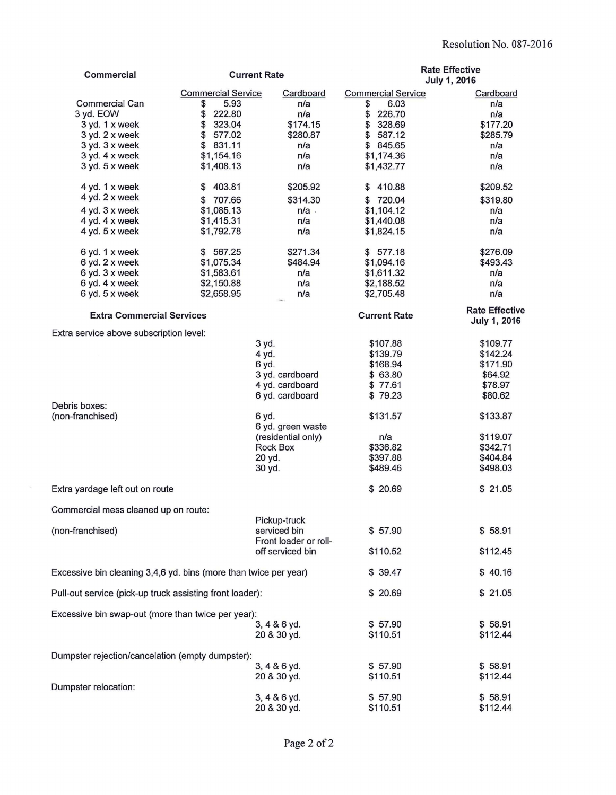| Commercial                                                       | <b>Current Rate</b>               |                                | <b>Rate Effective</b><br>July 1, 2016 |                                       |
|------------------------------------------------------------------|-----------------------------------|--------------------------------|---------------------------------------|---------------------------------------|
|                                                                  |                                   |                                |                                       |                                       |
| <b>Commercial Can</b>                                            | <b>Commercial Service</b><br>5.93 | Cardboard<br>n/a               | <b>Commercial Service</b>             | Cardboard                             |
| 3 yd. EOW                                                        | \$<br>\$<br>222.80                | n/a                            | 6.03<br>\$<br>\$<br>226.70            | n/a<br>n/a                            |
| 3 yd. 1 x week                                                   | \$<br>323.04                      | \$174.15                       | \$<br>328.69                          | \$177.20                              |
| 3 yd. 2 x week                                                   | \$<br>577.02                      | \$280.87                       | \$<br>587.12                          | \$285.79                              |
| 3 yd. 3 x week                                                   | 831.11<br>\$                      | n/a                            | \$<br>845.65                          | n/a                                   |
| 3 yd. 4 x week                                                   | \$1,154.16                        | n/a                            | \$1,174.36                            | n/a                                   |
| 3 yd. 5 x week                                                   | \$1,408.13                        | n/a                            | \$1,432.77                            | n/a                                   |
| 4 yd. 1 x week                                                   | 403.81<br>\$                      | \$205.92                       | 410.88<br>\$                          | \$209.52                              |
| 4 yd. 2 x week                                                   | 707.66<br>\$                      | \$314.30                       | \$720.04                              | \$319.80                              |
| 4 yd. 3 x week                                                   | \$1,085.13                        | $n/a$ .                        | \$1,104.12                            | n/a                                   |
| 4 yd. 4 x week                                                   | \$1,415.31                        | n/a                            | \$1,440.08                            | n/a                                   |
| 4 yd. 5 x week                                                   | \$1,792.78                        | n/a                            | \$1,824.15                            | n/a                                   |
| 6 yd. 1 x week                                                   | \$ 567.25                         | \$271.34                       | \$577.18                              | \$276.09                              |
| 6 yd. 2 x week                                                   | \$1,075.34                        | \$484.94                       | \$1,094.16                            | \$493.43                              |
| 6 yd. 3 x week                                                   | \$1,583.61                        | n/a                            | \$1,611.32                            | n/a                                   |
| 6 yd. 4 x week                                                   | \$2,150.88                        | n/a                            | \$2,188.52                            | n/a                                   |
| 6 yd. 5 x week                                                   | \$2,658.95                        | n/a                            | \$2,705.48                            | n/a                                   |
| <b>Extra Commercial Services</b>                                 |                                   |                                | <b>Current Rate</b>                   | <b>Rate Effective</b><br>July 1, 2016 |
| Extra service above subscription level:                          |                                   |                                |                                       |                                       |
|                                                                  |                                   | 3 yd.                          | \$107.88<br>\$139.79                  | \$109.77<br>\$142.24                  |
|                                                                  |                                   | 4 yd.<br>6 yd.                 | \$168.94                              | \$171.90                              |
|                                                                  |                                   | 3 yd. cardboard                | \$ 63.80                              | \$64.92                               |
|                                                                  |                                   | 4 yd. cardboard                | \$77.61                               | \$78.97                               |
|                                                                  |                                   | 6 yd. cardboard                | \$79.23                               | \$80.62                               |
| Debris boxes:                                                    |                                   |                                |                                       |                                       |
| (non-franchised)                                                 |                                   | 6 yd.                          | \$131.57                              | \$133.87                              |
|                                                                  |                                   | 6 yd. green waste              |                                       | \$119.07                              |
|                                                                  |                                   | (residential only)<br>Rock Box | n/a<br>\$336.82                       | \$342.71                              |
|                                                                  |                                   | 20 yd.                         | \$397.88                              | \$404.84                              |
|                                                                  |                                   | 30 yd.                         | \$489.46                              | \$498.03                              |
|                                                                  |                                   |                                |                                       |                                       |
| Extra yardage left out on route                                  |                                   |                                | \$20.69                               | \$21.05                               |
| Commercial mess cleaned up on route:                             |                                   |                                |                                       |                                       |
| (non-franchised)                                                 |                                   | Pickup-truck<br>serviced bin   | \$57.90                               | \$58.91                               |
|                                                                  |                                   | Front loader or roll-          |                                       |                                       |
|                                                                  |                                   | off serviced bin               | \$110.52                              | \$112.45                              |
| Excessive bin cleaning 3,4,6 yd. bins (more than twice per year) |                                   | \$39.47                        | \$40.16                               |                                       |
| Pull-out service (pick-up truck assisting front loader):         |                                   | \$ 20.69                       | \$21.05                               |                                       |
| Excessive bin swap-out (more than twice per year):               |                                   |                                |                                       |                                       |
|                                                                  |                                   | 3, 4 & 6 yd.                   | \$57.90                               | \$58.91                               |
|                                                                  |                                   | 20 & 30 yd.                    | \$110.51                              | \$112.44                              |
| Dumpster rejection/cancelation (empty dumpster):                 |                                   |                                |                                       |                                       |
|                                                                  |                                   | 3, 4 & 6 yd.                   | \$57.90                               | \$58.91                               |
|                                                                  |                                   | 20 & 30 yd.                    | \$110.51                              | \$112.44                              |
| Dumpster relocation:                                             |                                   |                                |                                       |                                       |
|                                                                  |                                   | 3, 4 & 6 yd.                   | \$57.90                               | \$58.91                               |
|                                                                  |                                   | 20 & 30 yd.                    | \$110.51                              | \$112.44                              |